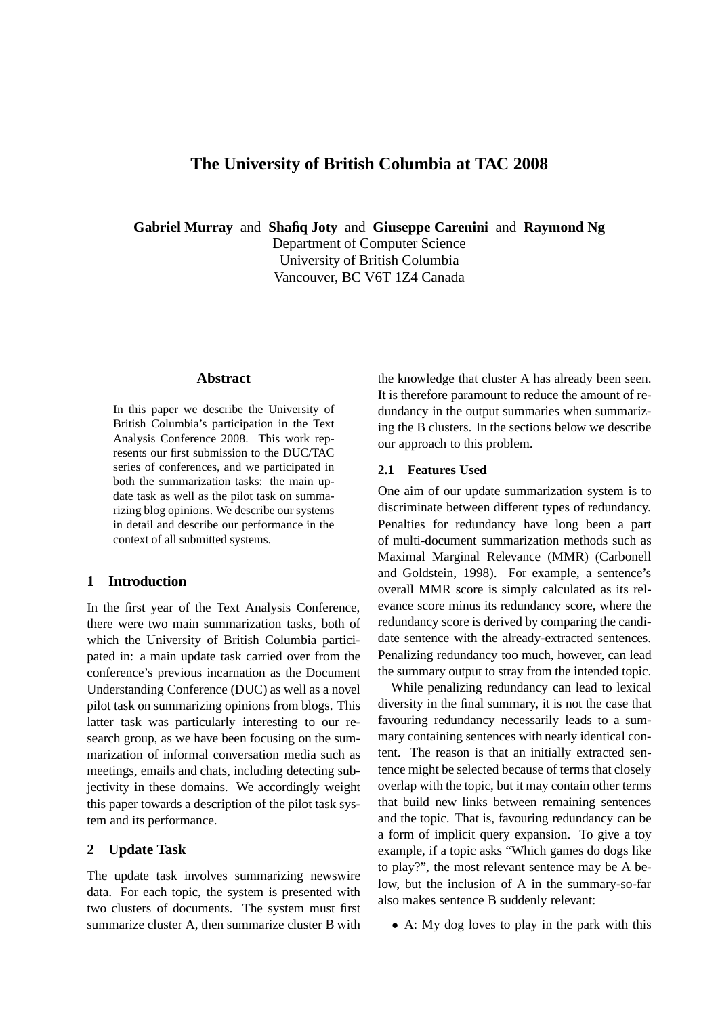# **The University of British Columbia at TAC 2008**

**Gabriel Murray** and **Shafiq Joty** and **Giuseppe Carenini** and **Raymond Ng**

Department of Computer Science University of British Columbia Vancouver, BC V6T 1Z4 Canada

## **Abstract**

In this paper we describe the University of British Columbia's participation in the Text Analysis Conference 2008. This work represents our first submission to the DUC/TAC series of conferences, and we participated in both the summarization tasks: the main update task as well as the pilot task on summarizing blog opinions. We describe our systems in detail and describe our performance in the context of all submitted systems.

# **1 Introduction**

In the first year of the Text Analysis Conference, there were two main summarization tasks, both of which the University of British Columbia participated in: a main update task carried over from the conference's previous incarnation as the Document Understanding Conference (DUC) as well as a novel pilot task on summarizing opinions from blogs. This latter task was particularly interesting to our research group, as we have been focusing on the summarization of informal conversation media such as meetings, emails and chats, including detecting subjectivity in these domains. We accordingly weight this paper towards a description of the pilot task system and its performance.

## **2 Update Task**

The update task involves summarizing newswire data. For each topic, the system is presented with two clusters of documents. The system must first summarize cluster A, then summarize cluster B with

the knowledge that cluster A has already been seen. It is therefore paramount to reduce the amount of redundancy in the output summaries when summarizing the B clusters. In the sections below we describe our approach to this problem.

## **2.1 Features Used**

One aim of our update summarization system is to discriminate between different types of redundancy. Penalties for redundancy have long been a part of multi-document summarization methods such as Maximal Marginal Relevance (MMR) (Carbonell and Goldstein, 1998). For example, a sentence's overall MMR score is simply calculated as its relevance score minus its redundancy score, where the redundancy score is derived by comparing the candidate sentence with the already-extracted sentences. Penalizing redundancy too much, however, can lead the summary output to stray from the intended topic.

While penalizing redundancy can lead to lexical diversity in the final summary, it is not the case that favouring redundancy necessarily leads to a summary containing sentences with nearly identical content. The reason is that an initially extracted sentence might be selected because of terms that closely overlap with the topic, but it may contain other terms that build new links between remaining sentences and the topic. That is, favouring redundancy can be a form of implicit query expansion. To give a toy example, if a topic asks "Which games do dogs like to play?", the most relevant sentence may be A below, but the inclusion of A in the summary-so-far also makes sentence B suddenly relevant:

• A: My dog loves to play in the park with this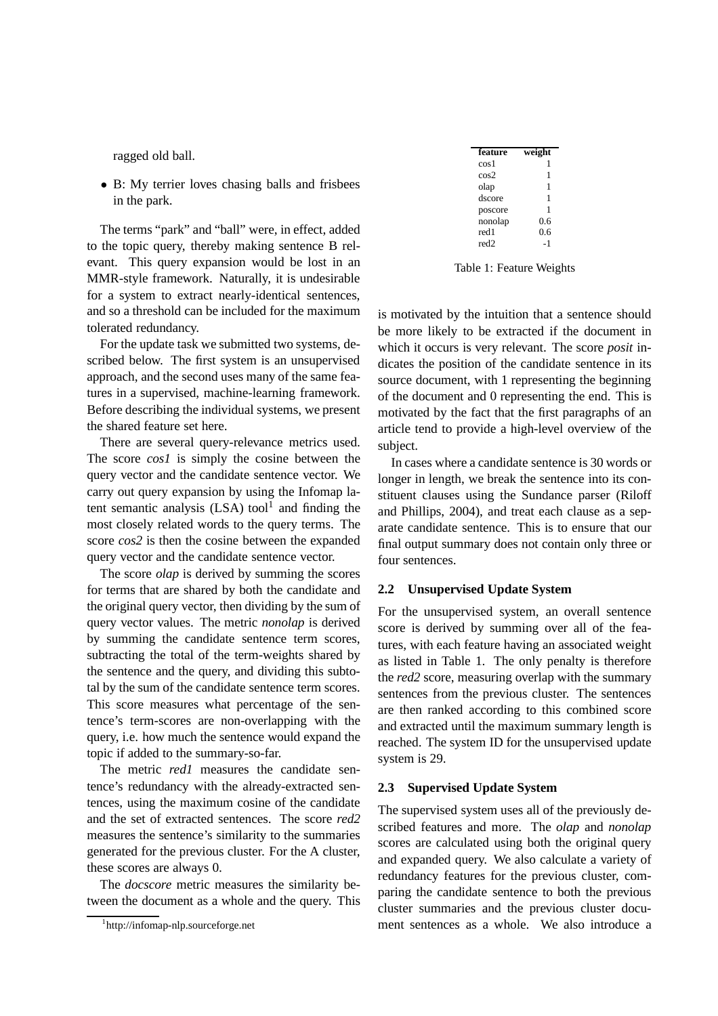ragged old ball.

• B: My terrier loves chasing balls and frisbees in the park.

The terms "park" and "ball" were, in effect, added to the topic query, thereby making sentence B relevant. This query expansion would be lost in an MMR-style framework. Naturally, it is undesirable for a system to extract nearly-identical sentences, and so a threshold can be included for the maximum tolerated redundancy.

For the update task we submitted two systems, described below. The first system is an unsupervised approach, and the second uses many of the same features in a supervised, machine-learning framework. Before describing the individual systems, we present the shared feature set here.

There are several query-relevance metrics used. The score *cos1* is simply the cosine between the query vector and the candidate sentence vector. We carry out query expansion by using the Infomap latent semantic analysis  $(LSA)$  tool<sup>1</sup> and finding the most closely related words to the query terms. The score *cos2* is then the cosine between the expanded query vector and the candidate sentence vector.

The score *olap* is derived by summing the scores for terms that are shared by both the candidate and the original query vector, then dividing by the sum of query vector values. The metric *nonolap* is derived by summing the candidate sentence term scores, subtracting the total of the term-weights shared by the sentence and the query, and dividing this subtotal by the sum of the candidate sentence term scores. This score measures what percentage of the sentence's term-scores are non-overlapping with the query, i.e. how much the sentence would expand the topic if added to the summary-so-far.

The metric *red1* measures the candidate sentence's redundancy with the already-extracted sentences, using the maximum cosine of the candidate and the set of extracted sentences. The score *red2* measures the sentence's similarity to the summaries generated for the previous cluster. For the A cluster, these scores are always 0.

The *docscore* metric measures the similarity between the document as a whole and the query. This

| feature          | weight |
|------------------|--------|
| cos 1            |        |
| cos2             | 1      |
| olap             | 1      |
| dscore           | 1      |
| poscore          | 1      |
| nonolap          | 0.6    |
| red1             | 0.6    |
| red <sub>2</sub> | - 1    |

Table 1: Feature Weights

is motivated by the intuition that a sentence should be more likely to be extracted if the document in which it occurs is very relevant. The score *posit* indicates the position of the candidate sentence in its source document, with 1 representing the beginning of the document and 0 representing the end. This is motivated by the fact that the first paragraphs of an article tend to provide a high-level overview of the subject.

In cases where a candidate sentence is 30 words or longer in length, we break the sentence into its constituent clauses using the Sundance parser (Riloff and Phillips, 2004), and treat each clause as a separate candidate sentence. This is to ensure that our final output summary does not contain only three or four sentences.

#### **2.2 Unsupervised Update System**

For the unsupervised system, an overall sentence score is derived by summing over all of the features, with each feature having an associated weight as listed in Table 1. The only penalty is therefore the *red2* score, measuring overlap with the summary sentences from the previous cluster. The sentences are then ranked according to this combined score and extracted until the maximum summary length is reached. The system ID for the unsupervised update system is 29.

## **2.3 Supervised Update System**

The supervised system uses all of the previously described features and more. The *olap* and *nonolap* scores are calculated using both the original query and expanded query. We also calculate a variety of redundancy features for the previous cluster, comparing the candidate sentence to both the previous cluster summaries and the previous cluster document sentences as a whole. We also introduce a

<sup>1</sup> http://infomap-nlp.sourceforge.net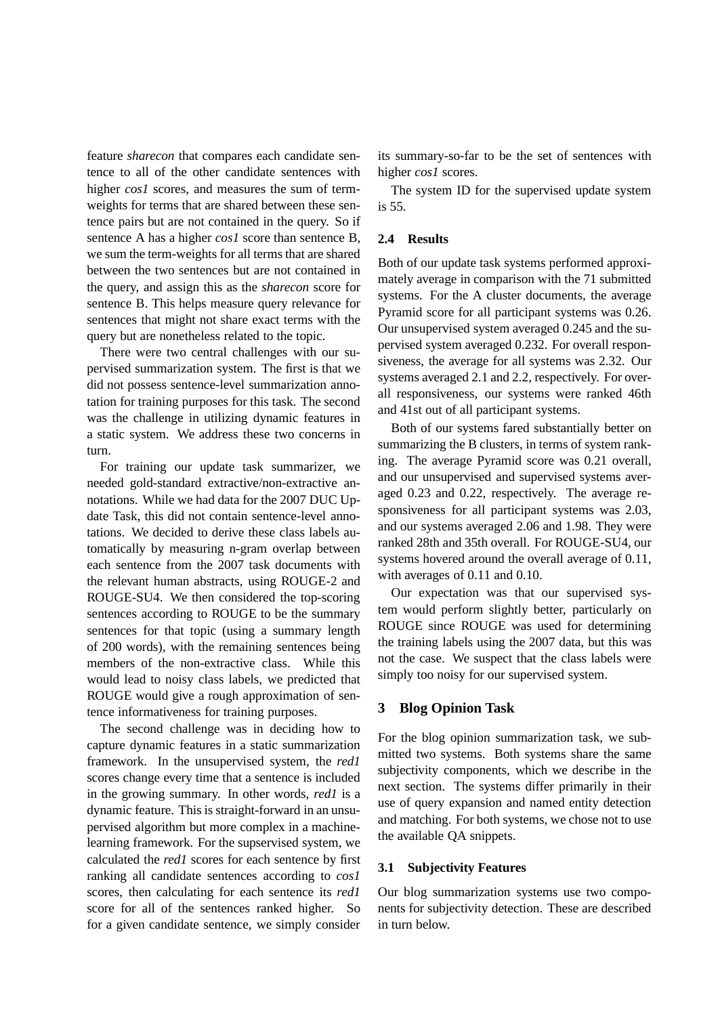feature *sharecon* that compares each candidate sentence to all of the other candidate sentences with higher *cos1* scores, and measures the sum of termweights for terms that are shared between these sentence pairs but are not contained in the query. So if sentence A has a higher *cos1* score than sentence B, we sum the term-weights for all terms that are shared between the two sentences but are not contained in the query, and assign this as the *sharecon* score for sentence B. This helps measure query relevance for sentences that might not share exact terms with the query but are nonetheless related to the topic.

There were two central challenges with our supervised summarization system. The first is that we did not possess sentence-level summarization annotation for training purposes for this task. The second was the challenge in utilizing dynamic features in a static system. We address these two concerns in turn.

For training our update task summarizer, we needed gold-standard extractive/non-extractive annotations. While we had data for the 2007 DUC Update Task, this did not contain sentence-level annotations. We decided to derive these class labels automatically by measuring n-gram overlap between each sentence from the 2007 task documents with the relevant human abstracts, using ROUGE-2 and ROUGE-SU4. We then considered the top-scoring sentences according to ROUGE to be the summary sentences for that topic (using a summary length of 200 words), with the remaining sentences being members of the non-extractive class. While this would lead to noisy class labels, we predicted that ROUGE would give a rough approximation of sentence informativeness for training purposes.

The second challenge was in deciding how to capture dynamic features in a static summarization framework. In the unsupervised system, the *red1* scores change every time that a sentence is included in the growing summary. In other words, *red1* is a dynamic feature. This is straight-forward in an unsupervised algorithm but more complex in a machinelearning framework. For the supservised system, we calculated the *red1* scores for each sentence by first ranking all candidate sentences according to *cos1* scores, then calculating for each sentence its *red1* score for all of the sentences ranked higher. So for a given candidate sentence, we simply consider

its summary-so-far to be the set of sentences with higher *cos1* scores.

The system ID for the supervised update system is 55.

## **2.4 Results**

Both of our update task systems performed approximately average in comparison with the 71 submitted systems. For the A cluster documents, the average Pyramid score for all participant systems was 0.26. Our unsupervised system averaged 0.245 and the supervised system averaged 0.232. For overall responsiveness, the average for all systems was 2.32. Our systems averaged 2.1 and 2.2, respectively. For overall responsiveness, our systems were ranked 46th and 41st out of all participant systems.

Both of our systems fared substantially better on summarizing the B clusters, in terms of system ranking. The average Pyramid score was 0.21 overall, and our unsupervised and supervised systems averaged 0.23 and 0.22, respectively. The average responsiveness for all participant systems was 2.03, and our systems averaged 2.06 and 1.98. They were ranked 28th and 35th overall. For ROUGE-SU4, our systems hovered around the overall average of 0.11, with averages of 0.11 and 0.10.

Our expectation was that our supervised system would perform slightly better, particularly on ROUGE since ROUGE was used for determining the training labels using the 2007 data, but this was not the case. We suspect that the class labels were simply too noisy for our supervised system.

## **3 Blog Opinion Task**

For the blog opinion summarization task, we submitted two systems. Both systems share the same subjectivity components, which we describe in the next section. The systems differ primarily in their use of query expansion and named entity detection and matching. For both systems, we chose not to use the available QA snippets.

## **3.1 Subjectivity Features**

Our blog summarization systems use two components for subjectivity detection. These are described in turn below.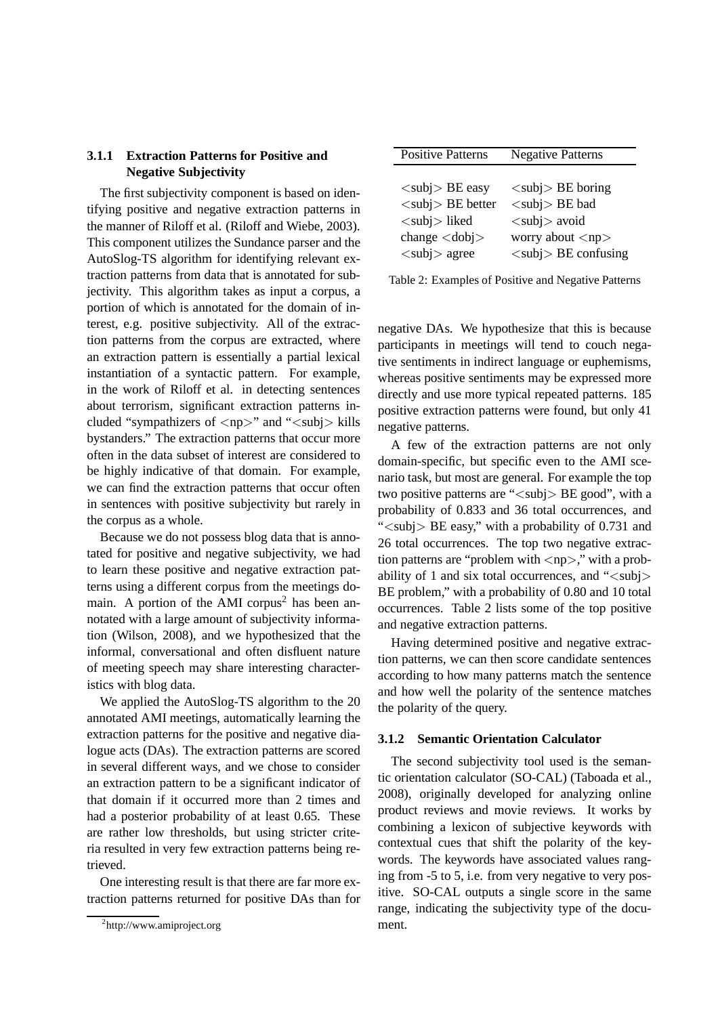# **3.1.1 Extraction Patterns for Positive and Negative Subjectivity**

The first subjectivity component is based on identifying positive and negative extraction patterns in the manner of Riloff et al. (Riloff and Wiebe, 2003). This component utilizes the Sundance parser and the AutoSlog-TS algorithm for identifying relevant extraction patterns from data that is annotated for subjectivity. This algorithm takes as input a corpus, a portion of which is annotated for the domain of interest, e.g. positive subjectivity. All of the extraction patterns from the corpus are extracted, where an extraction pattern is essentially a partial lexical instantiation of a syntactic pattern. For example, in the work of Riloff et al. in detecting sentences about terrorism, significant extraction patterns included "sympathizers of  $\langle np \rangle$ " and " $\langle subj \rangle$  kills bystanders." The extraction patterns that occur more often in the data subset of interest are considered to be highly indicative of that domain. For example, we can find the extraction patterns that occur often in sentences with positive subjectivity but rarely in the corpus as a whole.

Because we do not possess blog data that is annotated for positive and negative subjectivity, we had to learn these positive and negative extraction patterns using a different corpus from the meetings domain. A portion of the AMI corpus<sup>2</sup> has been annotated with a large amount of subjectivity information (Wilson, 2008), and we hypothesized that the informal, conversational and often disfluent nature of meeting speech may share interesting characteristics with blog data.

We applied the AutoSlog-TS algorithm to the 20 annotated AMI meetings, automatically learning the extraction patterns for the positive and negative dialogue acts (DAs). The extraction patterns are scored in several different ways, and we chose to consider an extraction pattern to be a significant indicator of that domain if it occurred more than 2 times and had a posterior probability of at least 0.65. These are rather low thresholds, but using stricter criteria resulted in very few extraction patterns being retrieved.

One interesting result is that there are far more extraction patterns returned for positive DAs than for

| <b>Positive Patterns</b>                | <b>Negative Patterns</b>                   |
|-----------------------------------------|--------------------------------------------|
|                                         |                                            |
| $\langle \text{subj} \rangle$ BE easy   | $\langle \text{subj} \rangle$ BE boring    |
| $\langle \text{subj} \rangle$ BE better | $\langle \text{subj} \rangle$ BE bad       |
| $\langle \text{subj} \rangle$ liked     | $\langle \text{subj} \rangle$ avoid        |
| change $\langle$ dobj $\rangle$         | worry about $\langle np \rangle$           |
| $\langle \text{subj} \rangle$ agree     | $\langle \text{subj} \rangle$ BE confusing |

Table 2: Examples of Positive and Negative Patterns

negative DAs. We hypothesize that this is because participants in meetings will tend to couch negative sentiments in indirect language or euphemisms, whereas positive sentiments may be expressed more directly and use more typical repeated patterns. 185 positive extraction patterns were found, but only 41 negative patterns.

A few of the extraction patterns are not only domain-specific, but specific even to the AMI scenario task, but most are general. For example the top two positive patterns are "<subj> BE good", with a probability of 0.833 and 36 total occurrences, and "<subj> BE easy," with a probability of 0.731 and 26 total occurrences. The top two negative extraction patterns are "problem with  $\langle np \rangle$ ," with a probability of 1 and six total occurrences, and " $\langle \text{subj} \rangle$ BE problem," with a probability of 0.80 and 10 total occurrences. Table 2 lists some of the top positive and negative extraction patterns.

Having determined positive and negative extraction patterns, we can then score candidate sentences according to how many patterns match the sentence and how well the polarity of the sentence matches the polarity of the query.

### **3.1.2 Semantic Orientation Calculator**

The second subjectivity tool used is the semantic orientation calculator (SO-CAL) (Taboada et al., 2008), originally developed for analyzing online product reviews and movie reviews. It works by combining a lexicon of subjective keywords with contextual cues that shift the polarity of the keywords. The keywords have associated values ranging from -5 to 5, i.e. from very negative to very positive. SO-CAL outputs a single score in the same range, indicating the subjectivity type of the document.

<sup>2</sup> http://www.amiproject.org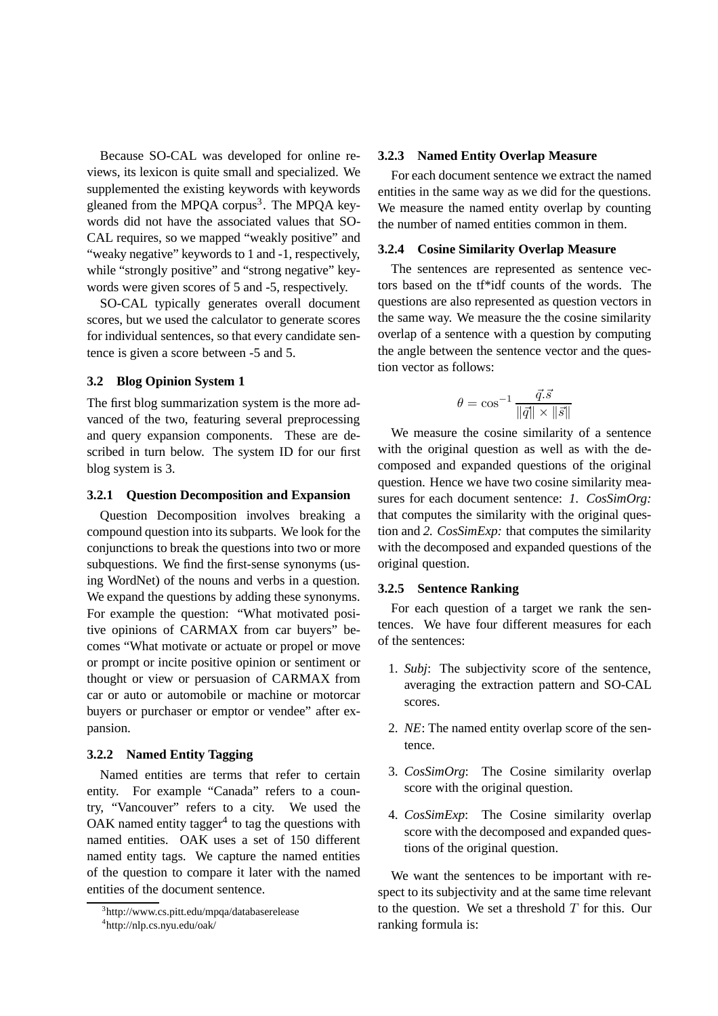Because SO-CAL was developed for online reviews, its lexicon is quite small and specialized. We supplemented the existing keywords with keywords gleaned from the MPQA corpus<sup>3</sup>. The MPQA keywords did not have the associated values that SO-CAL requires, so we mapped "weakly positive" and "weaky negative" keywords to 1 and -1, respectively, while "strongly positive" and "strong negative" keywords were given scores of 5 and -5, respectively.

SO-CAL typically generates overall document scores, but we used the calculator to generate scores for individual sentences, so that every candidate sentence is given a score between -5 and 5.

#### **3.2 Blog Opinion System 1**

The first blog summarization system is the more advanced of the two, featuring several preprocessing and query expansion components. These are described in turn below. The system ID for our first blog system is 3.

## **3.2.1 Question Decomposition and Expansion**

Question Decomposition involves breaking a compound question into its subparts. We look for the conjunctions to break the questions into two or more subquestions. We find the first-sense synonyms (using WordNet) of the nouns and verbs in a question. We expand the questions by adding these synonyms. For example the question: "What motivated positive opinions of CARMAX from car buyers" becomes "What motivate or actuate or propel or move or prompt or incite positive opinion or sentiment or thought or view or persuasion of CARMAX from car or auto or automobile or machine or motorcar buyers or purchaser or emptor or vendee" after expansion.

#### **3.2.2 Named Entity Tagging**

Named entities are terms that refer to certain entity. For example "Canada" refers to a country, "Vancouver" refers to a city. We used the OAK named entity tagger<sup>4</sup> to tag the questions with named entities. OAK uses a set of 150 different named entity tags. We capture the named entities of the question to compare it later with the named entities of the document sentence.

#### **3.2.3 Named Entity Overlap Measure**

For each document sentence we extract the named entities in the same way as we did for the questions. We measure the named entity overlap by counting the number of named entities common in them.

#### **3.2.4 Cosine Similarity Overlap Measure**

The sentences are represented as sentence vectors based on the tf\*idf counts of the words. The questions are also represented as question vectors in the same way. We measure the the cosine similarity overlap of a sentence with a question by computing the angle between the sentence vector and the question vector as follows:

$$
\theta = \cos^{-1} \frac{\vec{q}.\vec{s}}{\|\vec{q}\| \times \|\vec{s}\|}
$$

We measure the cosine similarity of a sentence with the original question as well as with the decomposed and expanded questions of the original question. Hence we have two cosine similarity measures for each document sentence: *1. CosSimOrg:* that computes the similarity with the original question and *2. CosSimExp:* that computes the similarity with the decomposed and expanded questions of the original question.

#### **3.2.5 Sentence Ranking**

For each question of a target we rank the sentences. We have four different measures for each of the sentences:

- 1. *Subj*: The subjectivity score of the sentence, averaging the extraction pattern and SO-CAL scores.
- 2. *NE*: The named entity overlap score of the sentence.
- 3. *CosSimOrg*: The Cosine similarity overlap score with the original question.
- 4. *CosSimExp*: The Cosine similarity overlap score with the decomposed and expanded questions of the original question.

We want the sentences to be important with respect to its subjectivity and at the same time relevant to the question. We set a threshold  $T$  for this. Our ranking formula is:

<sup>3</sup> http://www.cs.pitt.edu/mpqa/databaserelease

<sup>4</sup> http://nlp.cs.nyu.edu/oak/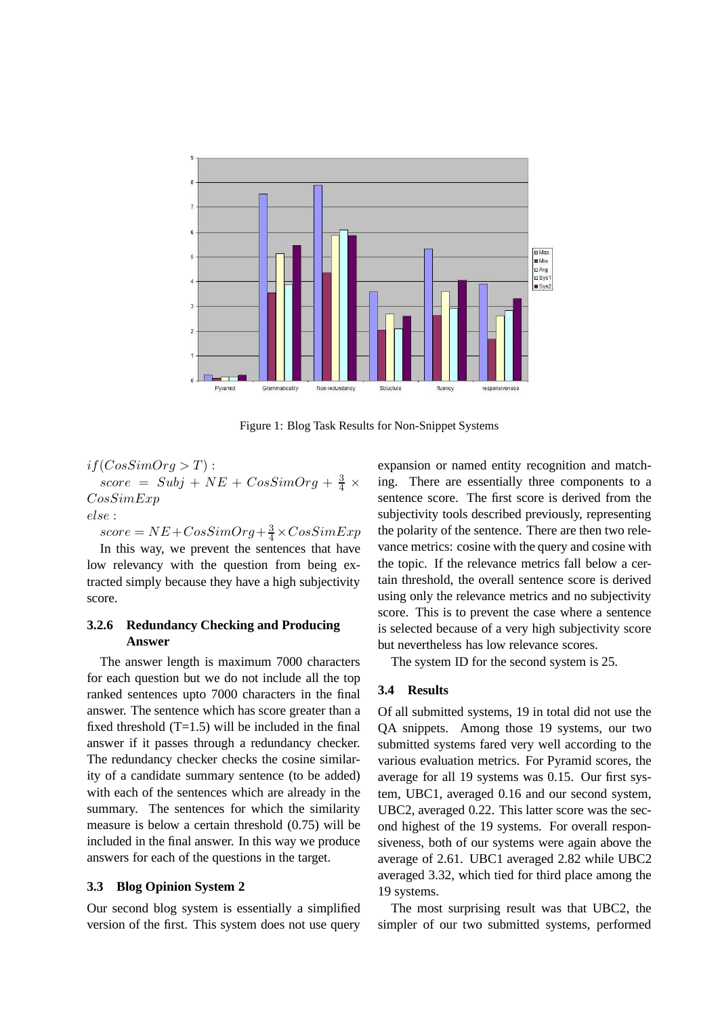

Figure 1: Blog Task Results for Non-Snippet Systems

# $if(CosSimOrg > T)$ :  $score = Subj + NE + CosSimOrg + \frac{3}{4} \times$ CosSimExp else :

 $score = NE + CosSimOrg + \frac{3}{4} \times CosSimExp$ In this way, we prevent the sentences that have low relevancy with the question from being extracted simply because they have a high subjectivity score.

# **3.2.6 Redundancy Checking and Producing Answer**

The answer length is maximum 7000 characters for each question but we do not include all the top ranked sentences upto 7000 characters in the final answer. The sentence which has score greater than a fixed threshold  $(T=1.5)$  will be included in the final answer if it passes through a redundancy checker. The redundancy checker checks the cosine similarity of a candidate summary sentence (to be added) with each of the sentences which are already in the summary. The sentences for which the similarity measure is below a certain threshold (0.75) will be included in the final answer. In this way we produce answers for each of the questions in the target.

## **3.3 Blog Opinion System 2**

Our second blog system is essentially a simplified version of the first. This system does not use query

expansion or named entity recognition and matching. There are essentially three components to a sentence score. The first score is derived from the subjectivity tools described previously, representing the polarity of the sentence. There are then two relevance metrics: cosine with the query and cosine with the topic. If the relevance metrics fall below a certain threshold, the overall sentence score is derived using only the relevance metrics and no subjectivity score. This is to prevent the case where a sentence is selected because of a very high subjectivity score but nevertheless has low relevance scores.

The system ID for the second system is 25.

# **3.4 Results**

Of all submitted systems, 19 in total did not use the QA snippets. Among those 19 systems, our two submitted systems fared very well according to the various evaluation metrics. For Pyramid scores, the average for all 19 systems was 0.15. Our first system, UBC1, averaged 0.16 and our second system, UBC2, averaged 0.22. This latter score was the second highest of the 19 systems. For overall responsiveness, both of our systems were again above the average of 2.61. UBC1 averaged 2.82 while UBC2 averaged 3.32, which tied for third place among the 19 systems.

The most surprising result was that UBC2, the simpler of our two submitted systems, performed